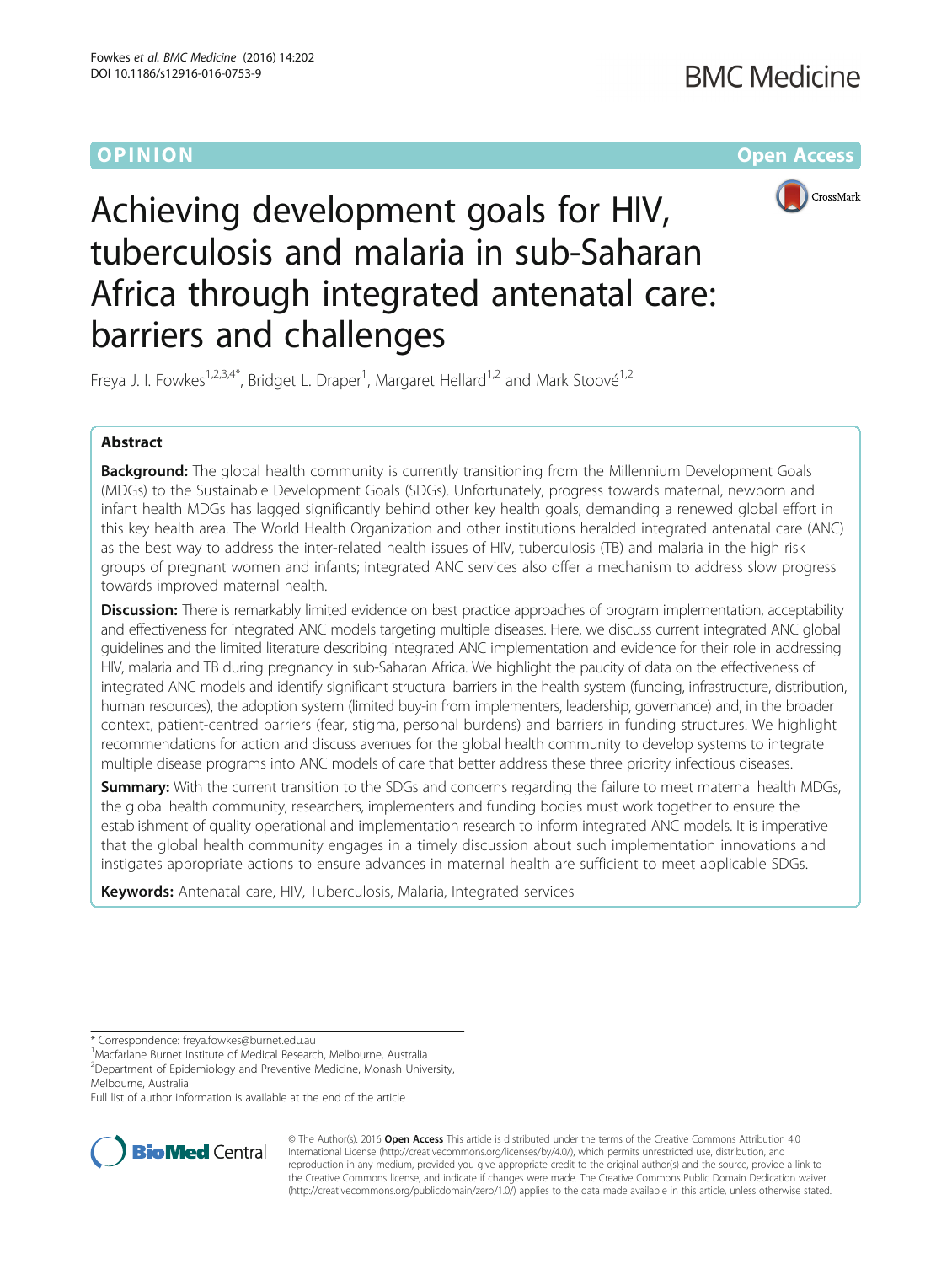**OPINION** CONTROL CONTROL CONTROL CONTROL CONTROL CONTROL CONTROL CONTROL CONTROL CONTROL CONTROL CONTROL CONTROL



# Achieving development goals for HIV, tuberculosis and malaria in sub-Saharan Africa through integrated antenatal care: barriers and challenges

Freya J. I. Fowkes<sup>1,2,3,4\*</sup>, Bridget L. Draper<sup>1</sup>, Margaret Hellard<sup>1,2</sup> and Mark Stoové<sup>1,2</sup>

### Abstract

**Background:** The global health community is currently transitioning from the Millennium Development Goals (MDGs) to the Sustainable Development Goals (SDGs). Unfortunately, progress towards maternal, newborn and infant health MDGs has lagged significantly behind other key health goals, demanding a renewed global effort in this key health area. The World Health Organization and other institutions heralded integrated antenatal care (ANC) as the best way to address the inter-related health issues of HIV, tuberculosis (TB) and malaria in the high risk groups of pregnant women and infants; integrated ANC services also offer a mechanism to address slow progress towards improved maternal health.

**Discussion:** There is remarkably limited evidence on best practice approaches of program implementation, acceptability and effectiveness for integrated ANC models targeting multiple diseases. Here, we discuss current integrated ANC global guidelines and the limited literature describing integrated ANC implementation and evidence for their role in addressing HIV, malaria and TB during pregnancy in sub-Saharan Africa. We highlight the paucity of data on the effectiveness of integrated ANC models and identify significant structural barriers in the health system (funding, infrastructure, distribution, human resources), the adoption system (limited buy-in from implementers, leadership, governance) and, in the broader context, patient-centred barriers (fear, stigma, personal burdens) and barriers in funding structures. We highlight recommendations for action and discuss avenues for the global health community to develop systems to integrate multiple disease programs into ANC models of care that better address these three priority infectious diseases.

**Summary:** With the current transition to the SDGs and concerns regarding the failure to meet maternal health MDGs, the global health community, researchers, implementers and funding bodies must work together to ensure the establishment of quality operational and implementation research to inform integrated ANC models. It is imperative that the global health community engages in a timely discussion about such implementation innovations and instigates appropriate actions to ensure advances in maternal health are sufficient to meet applicable SDGs.

Keywords: Antenatal care, HIV, Tuberculosis, Malaria, Integrated services

<sup>1</sup>Macfarlane Burnet Institute of Medical Research, Melbourne, Australia <sup>2</sup>Department of Epidemiology and Preventive Medicine, Monash University,

Full list of author information is available at the end of the article



© The Author(s). 2016 Open Access This article is distributed under the terms of the Creative Commons Attribution 4.0 International License [\(http://creativecommons.org/licenses/by/4.0/](http://creativecommons.org/licenses/by/4.0/)), which permits unrestricted use, distribution, and reproduction in any medium, provided you give appropriate credit to the original author(s) and the source, provide a link to the Creative Commons license, and indicate if changes were made. The Creative Commons Public Domain Dedication waiver [\(http://creativecommons.org/publicdomain/zero/1.0/](http://creativecommons.org/publicdomain/zero/1.0/)) applies to the data made available in this article, unless otherwise stated.

<sup>\*</sup> Correspondence: [freya.fowkes@burnet.edu.au](mailto:freya.fowkes@burnet.edu.au) <sup>1</sup>

Melbourne, Australia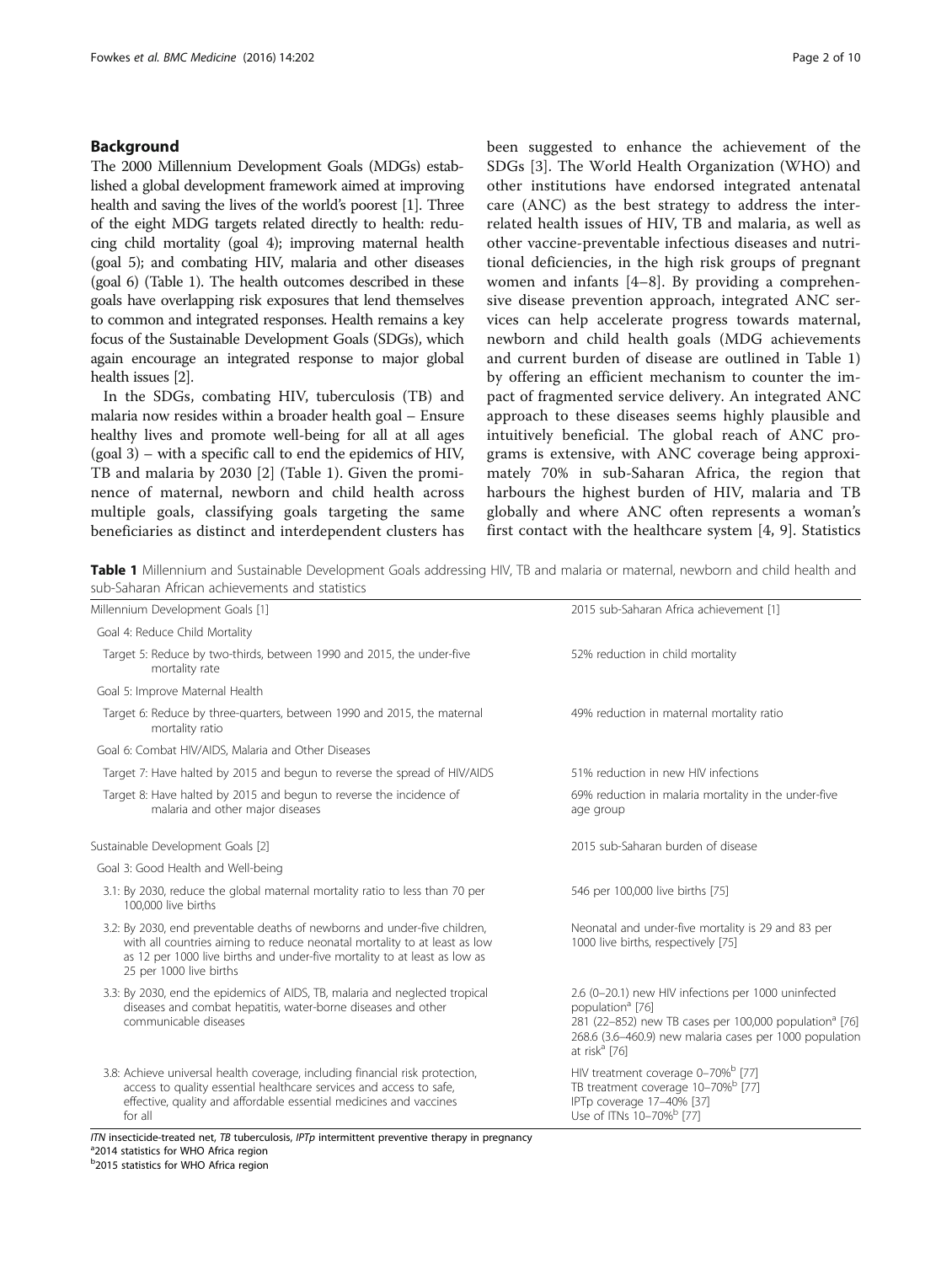#### <span id="page-1-0"></span>Background

The 2000 Millennium Development Goals (MDGs) established a global development framework aimed at improving health and saving the lives of the world's poorest [\[1](#page-7-0)]. Three of the eight MDG targets related directly to health: reducing child mortality (goal 4); improving maternal health (goal 5); and combating HIV, malaria and other diseases (goal 6) (Table 1). The health outcomes described in these goals have overlapping risk exposures that lend themselves to common and integrated responses. Health remains a key focus of the Sustainable Development Goals (SDGs), which again encourage an integrated response to major global health issues [\[2](#page-7-0)].

In the SDGs, combating HIV, tuberculosis (TB) and malaria now resides within a broader health goal – Ensure healthy lives and promote well-being for all at all ages (goal 3) – with a specific call to end the epidemics of HIV, TB and malaria by 2030 [[2\]](#page-7-0) (Table 1). Given the prominence of maternal, newborn and child health across multiple goals, classifying goals targeting the same beneficiaries as distinct and interdependent clusters has been suggested to enhance the achievement of the SDGs [[3\]](#page-7-0). The World Health Organization (WHO) and other institutions have endorsed integrated antenatal care (ANC) as the best strategy to address the interrelated health issues of HIV, TB and malaria, as well as other vaccine-preventable infectious diseases and nutritional deficiencies, in the high risk groups of pregnant women and infants [[4](#page-7-0)–[8\]](#page-7-0). By providing a comprehensive disease prevention approach, integrated ANC services can help accelerate progress towards maternal, newborn and child health goals (MDG achievements and current burden of disease are outlined in Table 1) by offering an efficient mechanism to counter the impact of fragmented service delivery. An integrated ANC approach to these diseases seems highly plausible and intuitively beneficial. The global reach of ANC programs is extensive, with ANC coverage being approximately 70% in sub-Saharan Africa, the region that harbours the highest burden of HIV, malaria and TB globally and where ANC often represents a woman's first contact with the healthcare system [\[4](#page-7-0), [9](#page-7-0)]. Statistics

Table 1 Millennium and Sustainable Development Goals addressing HIV, TB and malaria or maternal, newborn and child health and sub-Saharan African achievements and statistics

| Millennium Development Goals [1]                                                                                                                                                                                                                               | 2015 sub-Saharan Africa achievement [1]                                                                                                                                                                                                           |
|----------------------------------------------------------------------------------------------------------------------------------------------------------------------------------------------------------------------------------------------------------------|---------------------------------------------------------------------------------------------------------------------------------------------------------------------------------------------------------------------------------------------------|
| Goal 4: Reduce Child Mortality                                                                                                                                                                                                                                 |                                                                                                                                                                                                                                                   |
| Target 5: Reduce by two-thirds, between 1990 and 2015, the under-five<br>mortality rate                                                                                                                                                                        | 52% reduction in child mortality                                                                                                                                                                                                                  |
| Goal 5: Improve Maternal Health                                                                                                                                                                                                                                |                                                                                                                                                                                                                                                   |
| Target 6: Reduce by three-quarters, between 1990 and 2015, the maternal<br>mortality ratio                                                                                                                                                                     | 49% reduction in maternal mortality ratio                                                                                                                                                                                                         |
| Goal 6: Combat HIV/AIDS, Malaria and Other Diseases                                                                                                                                                                                                            |                                                                                                                                                                                                                                                   |
| Target 7: Have halted by 2015 and begun to reverse the spread of HIV/AIDS                                                                                                                                                                                      | 51% reduction in new HIV infections                                                                                                                                                                                                               |
| Target 8: Have halted by 2015 and begun to reverse the incidence of<br>malaria and other major diseases                                                                                                                                                        | 69% reduction in malaria mortality in the under-five<br>age group                                                                                                                                                                                 |
| Sustainable Development Goals [2]                                                                                                                                                                                                                              | 2015 sub-Saharan burden of disease                                                                                                                                                                                                                |
| Goal 3: Good Health and Well-being                                                                                                                                                                                                                             |                                                                                                                                                                                                                                                   |
| 3.1: By 2030, reduce the global maternal mortality ratio to less than 70 per<br>100,000 live births                                                                                                                                                            | 546 per 100,000 live births [75]                                                                                                                                                                                                                  |
| 3.2: By 2030, end preventable deaths of newborns and under-five children,<br>with all countries aiming to reduce neonatal mortality to at least as low<br>as 12 per 1000 live births and under-five mortality to at least as low as<br>25 per 1000 live births | Neonatal and under-five mortality is 29 and 83 per<br>1000 live births, respectively [75]                                                                                                                                                         |
| 3.3: By 2030, end the epidemics of AIDS, TB, malaria and neglected tropical<br>diseases and combat hepatitis, water-borne diseases and other<br>communicable diseases                                                                                          | 2.6 (0-20.1) new HIV infections per 1000 uninfected<br>population <sup>a</sup> [76]<br>281 (22-852) new TB cases per 100,000 population <sup>a</sup> [76]<br>268.6 (3.6-460.9) new malaria cases per 1000 population<br>at risk <sup>ª</sup> [76] |
| 3.8: Achieve universal health coverage, including financial risk protection,<br>access to quality essential healthcare services and access to safe,<br>effective, quality and affordable essential medicines and vaccines<br>for all                           | HIV treatment coverage 0-70% <sup>b</sup> [77]<br>TB treatment coverage 10-70% <sup>b</sup> [77]<br>IPTp coverage 17-40% [37]<br>Use of ITNs 10-70% <sup>b</sup> [77]                                                                             |

 $ITN$  insecticide-treated net, TB tuberculosis,  $IPTp$  intermittent preventive therapy in pregnancy <sup>a</sup> 2014 statistics for WHO Africa region b 2015 statistics for WHO Africa region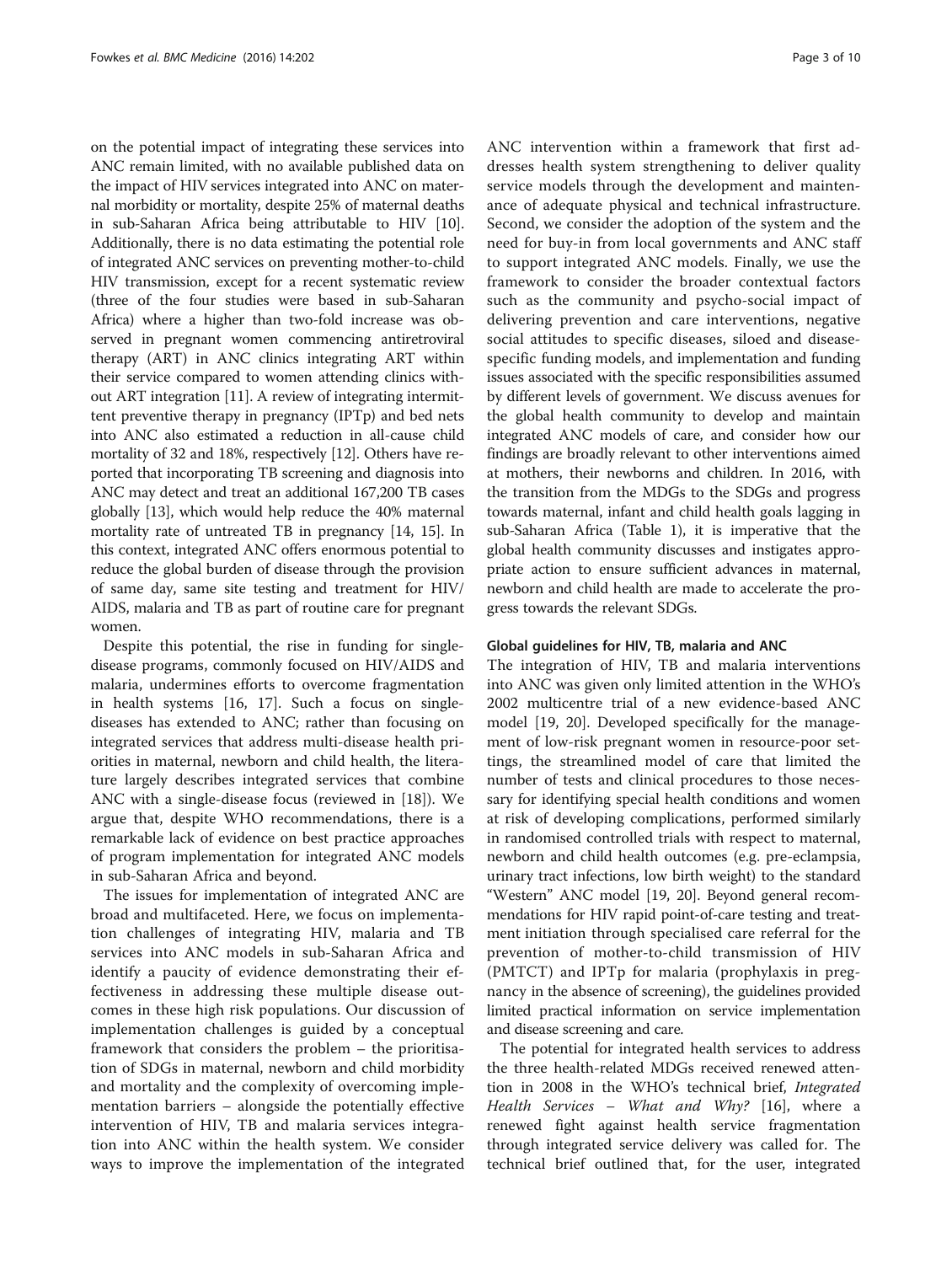on the potential impact of integrating these services into ANC remain limited, with no available published data on the impact of HIV services integrated into ANC on maternal morbidity or mortality, despite 25% of maternal deaths in sub-Saharan Africa being attributable to HIV [[10](#page-7-0)]. Additionally, there is no data estimating the potential role of integrated ANC services on preventing mother-to-child HIV transmission, except for a recent systematic review (three of the four studies were based in sub-Saharan Africa) where a higher than two-fold increase was observed in pregnant women commencing antiretroviral therapy (ART) in ANC clinics integrating ART within their service compared to women attending clinics without ART integration [\[11](#page-7-0)]. A review of integrating intermittent preventive therapy in pregnancy (IPTp) and bed nets into ANC also estimated a reduction in all-cause child mortality of 32 and 18%, respectively [\[12\]](#page-7-0). Others have reported that incorporating TB screening and diagnosis into ANC may detect and treat an additional 167,200 TB cases globally [\[13\]](#page-8-0), which would help reduce the 40% maternal mortality rate of untreated TB in pregnancy [\[14, 15\]](#page-8-0). In this context, integrated ANC offers enormous potential to reduce the global burden of disease through the provision of same day, same site testing and treatment for HIV/ AIDS, malaria and TB as part of routine care for pregnant women.

Despite this potential, the rise in funding for singledisease programs, commonly focused on HIV/AIDS and malaria, undermines efforts to overcome fragmentation in health systems [[16, 17\]](#page-8-0). Such a focus on singlediseases has extended to ANC; rather than focusing on integrated services that address multi-disease health priorities in maternal, newborn and child health, the literature largely describes integrated services that combine ANC with a single-disease focus (reviewed in [\[18\]](#page-8-0)). We argue that, despite WHO recommendations, there is a remarkable lack of evidence on best practice approaches of program implementation for integrated ANC models in sub-Saharan Africa and beyond.

The issues for implementation of integrated ANC are broad and multifaceted. Here, we focus on implementation challenges of integrating HIV, malaria and TB services into ANC models in sub-Saharan Africa and identify a paucity of evidence demonstrating their effectiveness in addressing these multiple disease outcomes in these high risk populations. Our discussion of implementation challenges is guided by a conceptual framework that considers the problem – the prioritisation of SDGs in maternal, newborn and child morbidity and mortality and the complexity of overcoming implementation barriers – alongside the potentially effective intervention of HIV, TB and malaria services integration into ANC within the health system. We consider ways to improve the implementation of the integrated ANC intervention within a framework that first addresses health system strengthening to deliver quality service models through the development and maintenance of adequate physical and technical infrastructure. Second, we consider the adoption of the system and the need for buy-in from local governments and ANC staff to support integrated ANC models. Finally, we use the framework to consider the broader contextual factors such as the community and psycho-social impact of delivering prevention and care interventions, negative social attitudes to specific diseases, siloed and diseasespecific funding models, and implementation and funding issues associated with the specific responsibilities assumed by different levels of government. We discuss avenues for the global health community to develop and maintain integrated ANC models of care, and consider how our findings are broadly relevant to other interventions aimed at mothers, their newborns and children. In 2016, with the transition from the MDGs to the SDGs and progress towards maternal, infant and child health goals lagging in sub-Saharan Africa (Table [1](#page-1-0)), it is imperative that the global health community discusses and instigates appropriate action to ensure sufficient advances in maternal, newborn and child health are made to accelerate the progress towards the relevant SDGs.

#### Global guidelines for HIV, TB, malaria and ANC

The integration of HIV, TB and malaria interventions into ANC was given only limited attention in the WHO's 2002 multicentre trial of a new evidence-based ANC model [[19, 20](#page-8-0)]. Developed specifically for the management of low-risk pregnant women in resource-poor settings, the streamlined model of care that limited the number of tests and clinical procedures to those necessary for identifying special health conditions and women at risk of developing complications, performed similarly in randomised controlled trials with respect to maternal, newborn and child health outcomes (e.g. pre-eclampsia, urinary tract infections, low birth weight) to the standard "Western" ANC model [\[19](#page-8-0), [20](#page-8-0)]. Beyond general recommendations for HIV rapid point-of-care testing and treatment initiation through specialised care referral for the prevention of mother-to-child transmission of HIV (PMTCT) and IPTp for malaria (prophylaxis in pregnancy in the absence of screening), the guidelines provided limited practical information on service implementation and disease screening and care.

The potential for integrated health services to address the three health-related MDGs received renewed attention in 2008 in the WHO's technical brief, Integrated Health Services – What and Why? [\[16](#page-8-0)], where a renewed fight against health service fragmentation through integrated service delivery was called for. The technical brief outlined that, for the user, integrated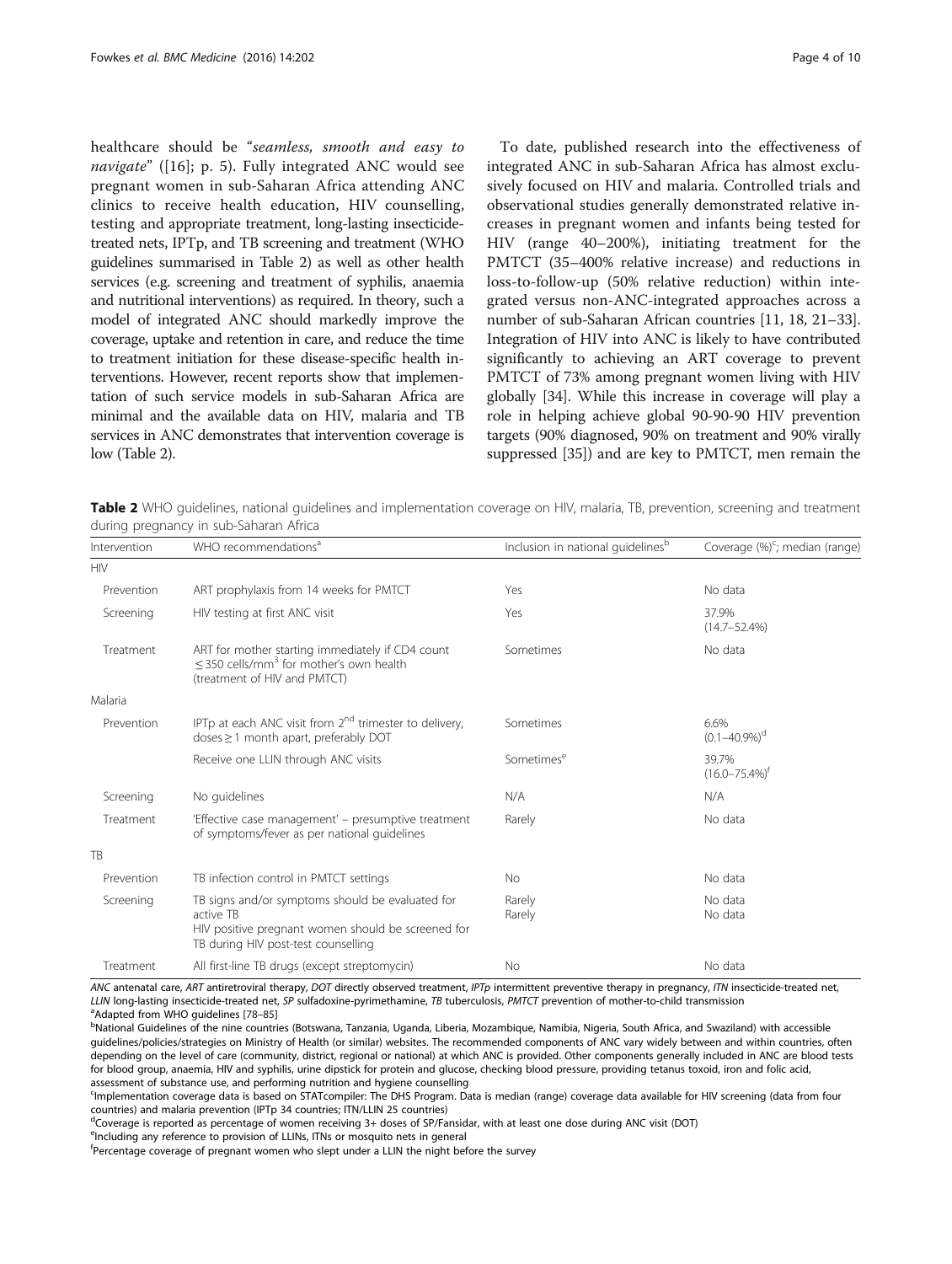healthcare should be "seamless, smooth and easy to navigate" ([[16](#page-8-0)]; p. 5). Fully integrated ANC would see pregnant women in sub-Saharan Africa attending ANC clinics to receive health education, HIV counselling, testing and appropriate treatment, long-lasting insecticidetreated nets, IPTp, and TB screening and treatment (WHO guidelines summarised in Table 2) as well as other health services (e.g. screening and treatment of syphilis, anaemia and nutritional interventions) as required. In theory, such a model of integrated ANC should markedly improve the coverage, uptake and retention in care, and reduce the time to treatment initiation for these disease-specific health interventions. However, recent reports show that implementation of such service models in sub-Saharan Africa are minimal and the available data on HIV, malaria and TB services in ANC demonstrates that intervention coverage is low (Table 2).

To date, published research into the effectiveness of integrated ANC in sub-Saharan Africa has almost exclusively focused on HIV and malaria. Controlled trials and observational studies generally demonstrated relative increases in pregnant women and infants being tested for HIV (range 40–200%), initiating treatment for the PMTCT (35–400% relative increase) and reductions in loss-to-follow-up (50% relative reduction) within integrated versus non-ANC-integrated approaches across a number of sub-Saharan African countries [[11](#page-7-0), [18](#page-8-0), [21](#page-8-0)–[33](#page-8-0)]. Integration of HIV into ANC is likely to have contributed significantly to achieving an ART coverage to prevent PMTCT of 73% among pregnant women living with HIV globally [[34](#page-8-0)]. While this increase in coverage will play a role in helping achieve global 90-90-90 HIV prevention targets (90% diagnosed, 90% on treatment and 90% virally suppressed [[35\]](#page-8-0)) and are key to PMTCT, men remain the

Table 2 WHO guidelines, national guidelines and implementation coverage on HIV, malaria, TB, prevention, screening and treatment during pregnancy in sub-Saharan Africa

| Intervention | WHO recommendations <sup>a</sup>                                                                                                                           | Inclusion in national quidelines <sup>b</sup> | Coverage (%) <sup>c</sup> ; median (range) |
|--------------|------------------------------------------------------------------------------------------------------------------------------------------------------------|-----------------------------------------------|--------------------------------------------|
| <b>HIV</b>   |                                                                                                                                                            |                                               |                                            |
| Prevention   | ART prophylaxis from 14 weeks for PMTCT                                                                                                                    | Yes                                           | No data                                    |
| Screening    | HIV testing at first ANC visit                                                                                                                             | Yes                                           | 37.9%<br>$(14.7 - 52.4%)$                  |
| Treatment    | ART for mother starting immediately if CD4 count<br>$\leq$ 350 cells/mm <sup>3</sup> for mother's own health<br>(treatment of HIV and PMTCT)               | Sometimes                                     | No data                                    |
| Malaria      |                                                                                                                                                            |                                               |                                            |
| Prevention   | IPTp at each ANC visit from $2^{nd}$ trimester to delivery,<br>doses ≥ 1 month apart, preferably DOT                                                       | Sometimes                                     | 6.6%<br>$(0.1 - 40.9\%)^d$                 |
|              | Receive one LLIN through ANC visits                                                                                                                        | Sometimes <sup>e</sup>                        | 39.7%<br>$(16.0 - 75.4\%)^{\dagger}$       |
| Screening    | No quidelines                                                                                                                                              | N/A                                           | N/A                                        |
| Treatment    | 'Effective case management' - presumptive treatment<br>of symptoms/fever as per national quidelines                                                        | Rarely                                        | No data                                    |
| <b>TB</b>    |                                                                                                                                                            |                                               |                                            |
| Prevention   | TB infection control in PMTCT settings                                                                                                                     | <b>No</b>                                     | No data                                    |
| Screening    | TB signs and/or symptoms should be evaluated for<br>active TB<br>HIV positive pregnant women should be screened for<br>TB during HIV post-test counselling | Rarely<br>Rarely                              | No data<br>No data                         |
| Treatment    | All first-line TB drugs (except streptomycin)                                                                                                              | <b>No</b>                                     | No data                                    |

ANC antenatal care, ART antiretroviral therapy, DOT directly observed treatment, IPTp intermittent preventive therapy in pregnancy, ITN insecticide-treated net, LLIN long-lasting insecticide-treated net, SP sulfadoxine-pyrimethamine, TB tuberculosis, PMTCT prevention of mother-to-child transmission <sup>a</sup>Adapted from WHO quidelines [\[78](#page-9-0)-[85\]](#page-9-0)

<sup>b</sup>National Guidelines of the nine countries (Botswana, Tanzania, Uganda, Liberia, Mozambique, Namibia, Nigeria, South Africa, and Swaziland) with accessible guidelines/policies/strategies on Ministry of Health (or similar) websites. The recommended components of ANC vary widely between and within countries, often depending on the level of care (community, district, regional or national) at which ANC is provided. Other components generally included in ANC are blood tests for blood group, anaemia, HIV and syphilis, urine dipstick for protein and glucose, checking blood pressure, providing tetanus toxoid, iron and folic acid, assessment of substance use, and performing nutrition and hygiene counselling

<sup>d</sup>Coverage is reported as percentage of women receiving 3+ doses of SP/Fansidar, with at least one dose during ANC visit (DOT)

enduding any reference to provision of LLINs, ITNs or mosquito nets in general

f Percentage coverage of pregnant women who slept under a LLIN the night before the survey

<sup>&</sup>lt;sup>c</sup>Implementation coverage data is based on STATcompiler: The DHS Program. Data is median (range) coverage data available for HIV screening (data from four countries) and malaria prevention (IPTp 34 countries; ITN/LLIN 25 countries)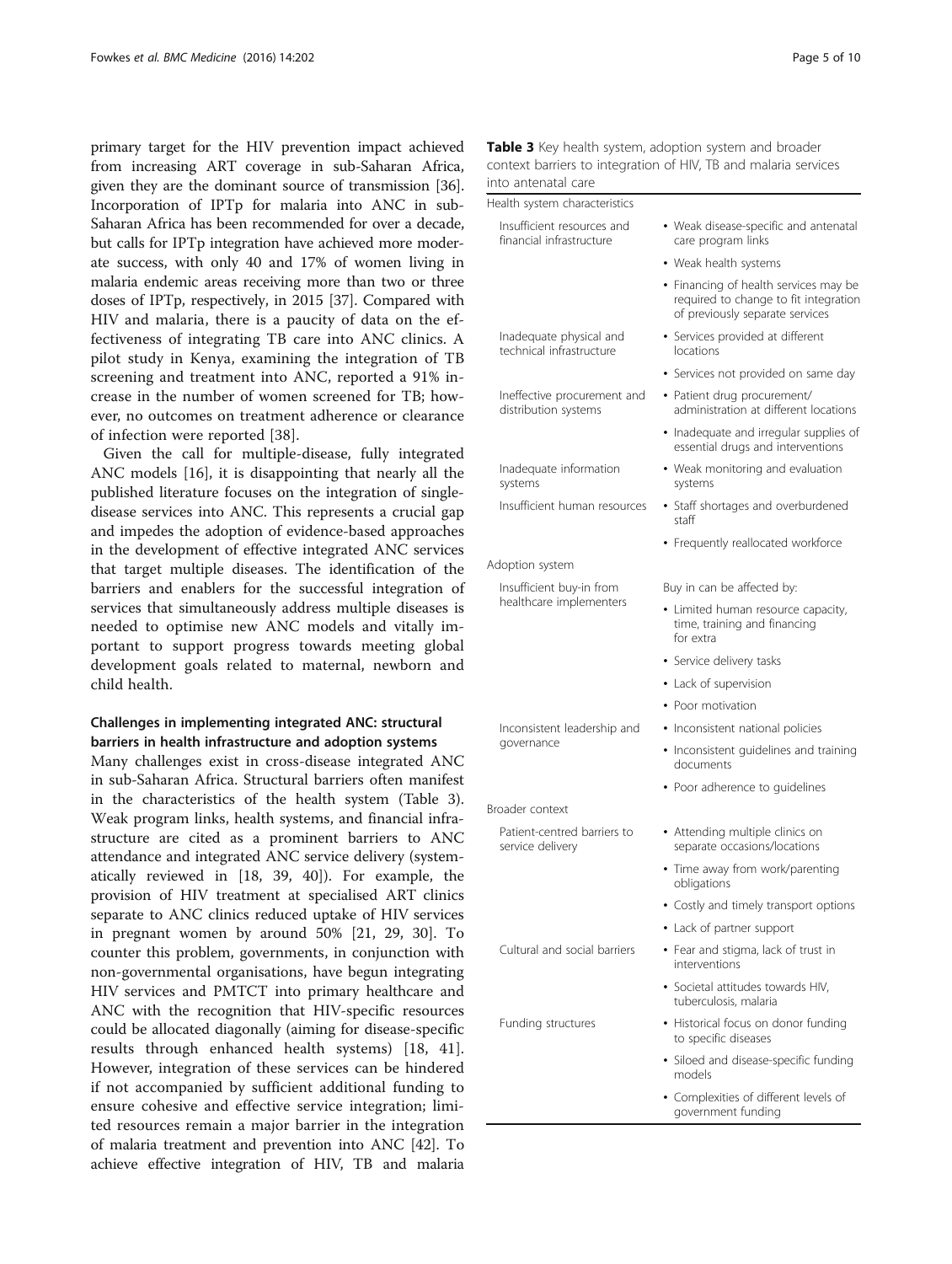<span id="page-4-0"></span>primary target for the HIV prevention impact achieved from increasing ART coverage in sub-Saharan Africa, given they are the dominant source of transmission [[36](#page-8-0)]. Incorporation of IPTp for malaria into ANC in sub-Saharan Africa has been recommended for over a decade, but calls for IPTp integration have achieved more moderate success, with only 40 and 17% of women living in malaria endemic areas receiving more than two or three doses of IPTp, respectively, in 2015 [[37](#page-8-0)]. Compared with HIV and malaria, there is a paucity of data on the effectiveness of integrating TB care into ANC clinics. A pilot study in Kenya, examining the integration of TB screening and treatment into ANC, reported a 91% increase in the number of women screened for TB; however, no outcomes on treatment adherence or clearance of infection were reported [[38\]](#page-8-0).

Given the call for multiple-disease, fully integrated ANC models [[16\]](#page-8-0), it is disappointing that nearly all the published literature focuses on the integration of singledisease services into ANC. This represents a crucial gap and impedes the adoption of evidence-based approaches in the development of effective integrated ANC services that target multiple diseases. The identification of the barriers and enablers for the successful integration of services that simultaneously address multiple diseases is needed to optimise new ANC models and vitally important to support progress towards meeting global development goals related to maternal, newborn and child health.

#### Challenges in implementing integrated ANC: structural barriers in health infrastructure and adoption systems

Many challenges exist in cross-disease integrated ANC in sub-Saharan Africa. Structural barriers often manifest in the characteristics of the health system (Table 3). Weak program links, health systems, and financial infrastructure are cited as a prominent barriers to ANC attendance and integrated ANC service delivery (systematically reviewed in [\[18](#page-8-0), [39, 40](#page-8-0)]). For example, the provision of HIV treatment at specialised ART clinics separate to ANC clinics reduced uptake of HIV services in pregnant women by around 50% [\[21, 29](#page-8-0), [30\]](#page-8-0). To counter this problem, governments, in conjunction with non-governmental organisations, have begun integrating HIV services and PMTCT into primary healthcare and ANC with the recognition that HIV-specific resources could be allocated diagonally (aiming for disease-specific results through enhanced health systems) [[18, 41](#page-8-0)]. However, integration of these services can be hindered if not accompanied by sufficient additional funding to ensure cohesive and effective service integration; limited resources remain a major barrier in the integration of malaria treatment and prevention into ANC [\[42\]](#page-8-0). To achieve effective integration of HIV, TB and malaria

| Table 3 Key health system, adoption system and broader          |
|-----------------------------------------------------------------|
| context barriers to integration of HIV, TB and malaria services |
| into antenatal care                                             |

| Health system characteristics                          |                                                                                                                   |
|--------------------------------------------------------|-------------------------------------------------------------------------------------------------------------------|
| Insufficient resources and<br>financial infrastructure | • Weak disease-specific and antenatal<br>care program links                                                       |
|                                                        | • Weak health systems                                                                                             |
|                                                        | • Financing of health services may be<br>required to change to fit integration<br>of previously separate services |
| Inadequate physical and<br>technical infrastructure    | • Services provided at different<br>locations                                                                     |
|                                                        | • Services not provided on same day                                                                               |
| Ineffective procurement and<br>distribution systems    | • Patient drug procurement/<br>administration at different locations                                              |
|                                                        | · Inadequate and irregular supplies of<br>essential drugs and interventions                                       |
| Inadequate information<br>systems                      | • Weak monitoring and evaluation<br>systems                                                                       |
| Insufficient human resources                           | • Staff shortages and overburdened<br>staff                                                                       |
|                                                        | • Frequently reallocated workforce                                                                                |
| Adoption system                                        |                                                                                                                   |
| Insufficient buy-in from                               | Buy in can be affected by:                                                                                        |
| healthcare implementers                                | • Limited human resource capacity,<br>time, training and financing<br>for extra                                   |
|                                                        | • Service delivery tasks                                                                                          |
|                                                        | • Lack of supervision                                                                                             |
|                                                        | • Poor motivation                                                                                                 |
| Inconsistent leadership and<br>governance              | • Inconsistent national policies                                                                                  |
|                                                        | • Inconsistent guidelines and training<br>documents                                                               |
|                                                        | • Poor adherence to guidelines                                                                                    |
| Broader context                                        |                                                                                                                   |
| Patient-centred barriers to<br>service delivery        | • Attending multiple clinics on<br>separate occasions/locations                                                   |
|                                                        | • Time away from work/parenting<br>obligations                                                                    |
|                                                        | • Costly and timely transport options                                                                             |
|                                                        | • Lack of partner support                                                                                         |
| Cultural and social barriers                           | • Fear and stigma, lack of trust in<br>interventions                                                              |
|                                                        | · Societal attitudes towards HIV,<br>tuberculosis, malaria                                                        |
| Funding structures                                     | • Historical focus on donor funding<br>to specific diseases                                                       |
|                                                        | • Siloed and disease-specific funding<br>models                                                                   |
|                                                        | • Complexities of different levels of<br>government funding                                                       |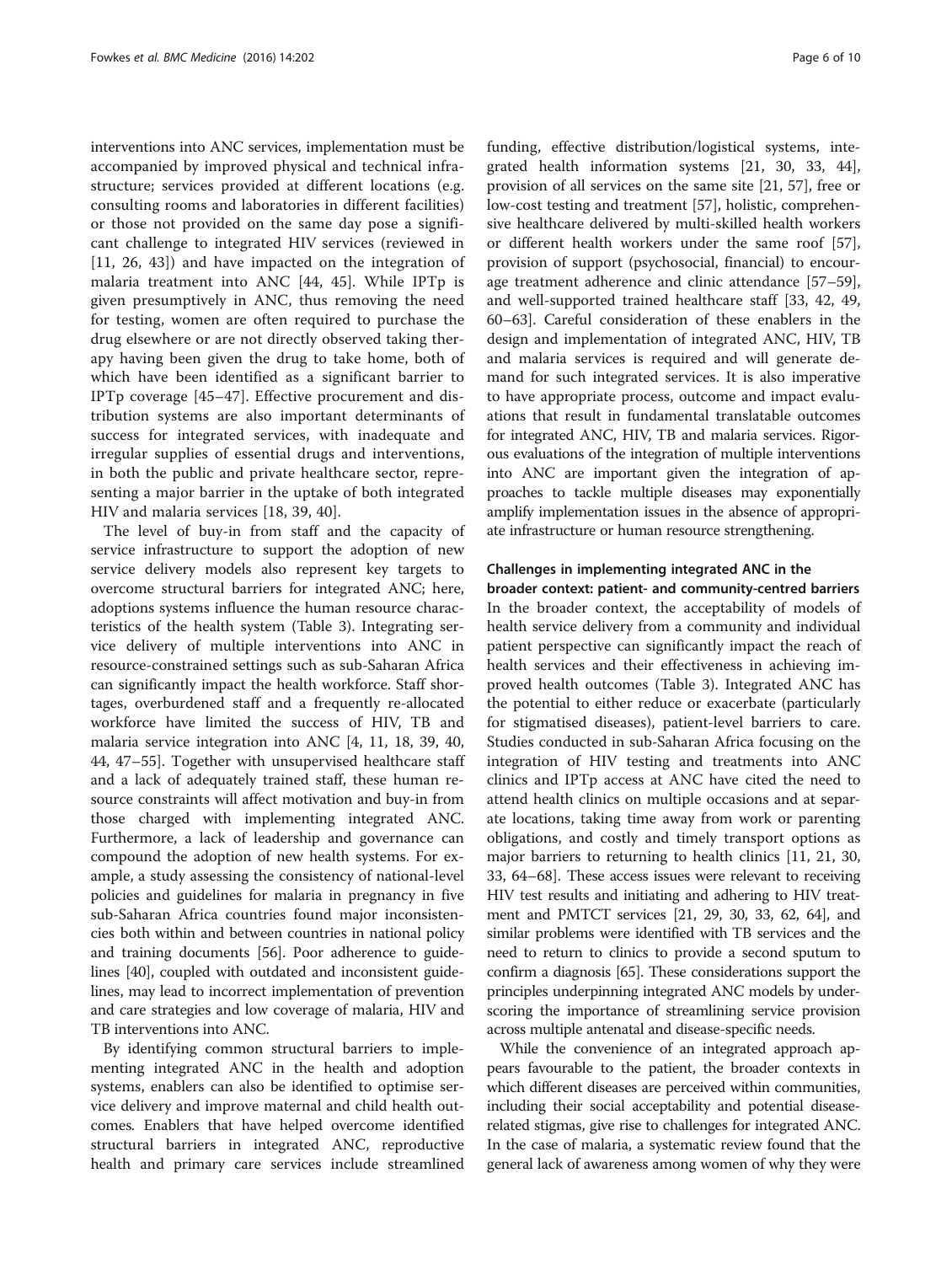interventions into ANC services, implementation must be accompanied by improved physical and technical infrastructure; services provided at different locations (e.g. consulting rooms and laboratories in different facilities) or those not provided on the same day pose a significant challenge to integrated HIV services (reviewed in [[11,](#page-7-0) [26, 43](#page-8-0)]) and have impacted on the integration of malaria treatment into ANC [[44, 45](#page-8-0)]. While IPTp is given presumptively in ANC, thus removing the need for testing, women are often required to purchase the drug elsewhere or are not directly observed taking therapy having been given the drug to take home, both of which have been identified as a significant barrier to IPTp coverage [\[45](#page-8-0)–[47](#page-8-0)]. Effective procurement and distribution systems are also important determinants of success for integrated services, with inadequate and irregular supplies of essential drugs and interventions, in both the public and private healthcare sector, representing a major barrier in the uptake of both integrated HIV and malaria services [[18, 39, 40](#page-8-0)].

The level of buy-in from staff and the capacity of service infrastructure to support the adoption of new service delivery models also represent key targets to overcome structural barriers for integrated ANC; here, adoptions systems influence the human resource characteristics of the health system (Table [3\)](#page-4-0). Integrating service delivery of multiple interventions into ANC in resource-constrained settings such as sub-Saharan Africa can significantly impact the health workforce. Staff shortages, overburdened staff and a frequently re-allocated workforce have limited the success of HIV, TB and malaria service integration into ANC [[4, 11,](#page-7-0) [18, 39](#page-8-0), [40](#page-8-0), [44, 47](#page-8-0)–[55](#page-9-0)]. Together with unsupervised healthcare staff and a lack of adequately trained staff, these human resource constraints will affect motivation and buy-in from those charged with implementing integrated ANC. Furthermore, a lack of leadership and governance can compound the adoption of new health systems. For example, a study assessing the consistency of national-level policies and guidelines for malaria in pregnancy in five sub-Saharan Africa countries found major inconsistencies both within and between countries in national policy and training documents [[56\]](#page-9-0). Poor adherence to guidelines [[40](#page-8-0)], coupled with outdated and inconsistent guidelines, may lead to incorrect implementation of prevention and care strategies and low coverage of malaria, HIV and TB interventions into ANC.

By identifying common structural barriers to implementing integrated ANC in the health and adoption systems, enablers can also be identified to optimise service delivery and improve maternal and child health outcomes. Enablers that have helped overcome identified structural barriers in integrated ANC, reproductive health and primary care services include streamlined funding, effective distribution/logistical systems, integrated health information systems [[21](#page-8-0), [30](#page-8-0), [33](#page-8-0), [44](#page-8-0)], provision of all services on the same site [\[21,](#page-8-0) [57\]](#page-9-0), free or low-cost testing and treatment [\[57](#page-9-0)], holistic, comprehensive healthcare delivered by multi-skilled health workers or different health workers under the same roof [\[57](#page-9-0)], provision of support (psychosocial, financial) to encourage treatment adherence and clinic attendance [[57](#page-9-0)–[59](#page-9-0)], and well-supported trained healthcare staff [[33, 42](#page-8-0), [49](#page-8-0), [60](#page-9-0)–[63](#page-9-0)]. Careful consideration of these enablers in the design and implementation of integrated ANC, HIV, TB and malaria services is required and will generate demand for such integrated services. It is also imperative to have appropriate process, outcome and impact evaluations that result in fundamental translatable outcomes for integrated ANC, HIV, TB and malaria services. Rigorous evaluations of the integration of multiple interventions into ANC are important given the integration of approaches to tackle multiple diseases may exponentially amplify implementation issues in the absence of appropriate infrastructure or human resource strengthening.

#### Challenges in implementing integrated ANC in the

broader context: patient- and community-centred barriers In the broader context, the acceptability of models of health service delivery from a community and individual patient perspective can significantly impact the reach of health services and their effectiveness in achieving improved health outcomes (Table [3](#page-4-0)). Integrated ANC has the potential to either reduce or exacerbate (particularly for stigmatised diseases), patient-level barriers to care. Studies conducted in sub-Saharan Africa focusing on the integration of HIV testing and treatments into ANC clinics and IPTp access at ANC have cited the need to attend health clinics on multiple occasions and at separate locations, taking time away from work or parenting obligations, and costly and timely transport options as major barriers to returning to health clinics [\[11,](#page-7-0) [21, 30](#page-8-0), [33,](#page-8-0) [64](#page-9-0)–[68\]](#page-9-0). These access issues were relevant to receiving HIV test results and initiating and adhering to HIV treatment and PMTCT services [\[21, 29, 30](#page-8-0), [33](#page-8-0), [62](#page-9-0), [64](#page-9-0)], and similar problems were identified with TB services and the need to return to clinics to provide a second sputum to confirm a diagnosis [\[65\]](#page-9-0). These considerations support the principles underpinning integrated ANC models by underscoring the importance of streamlining service provision across multiple antenatal and disease-specific needs.

While the convenience of an integrated approach appears favourable to the patient, the broader contexts in which different diseases are perceived within communities, including their social acceptability and potential diseaserelated stigmas, give rise to challenges for integrated ANC. In the case of malaria, a systematic review found that the general lack of awareness among women of why they were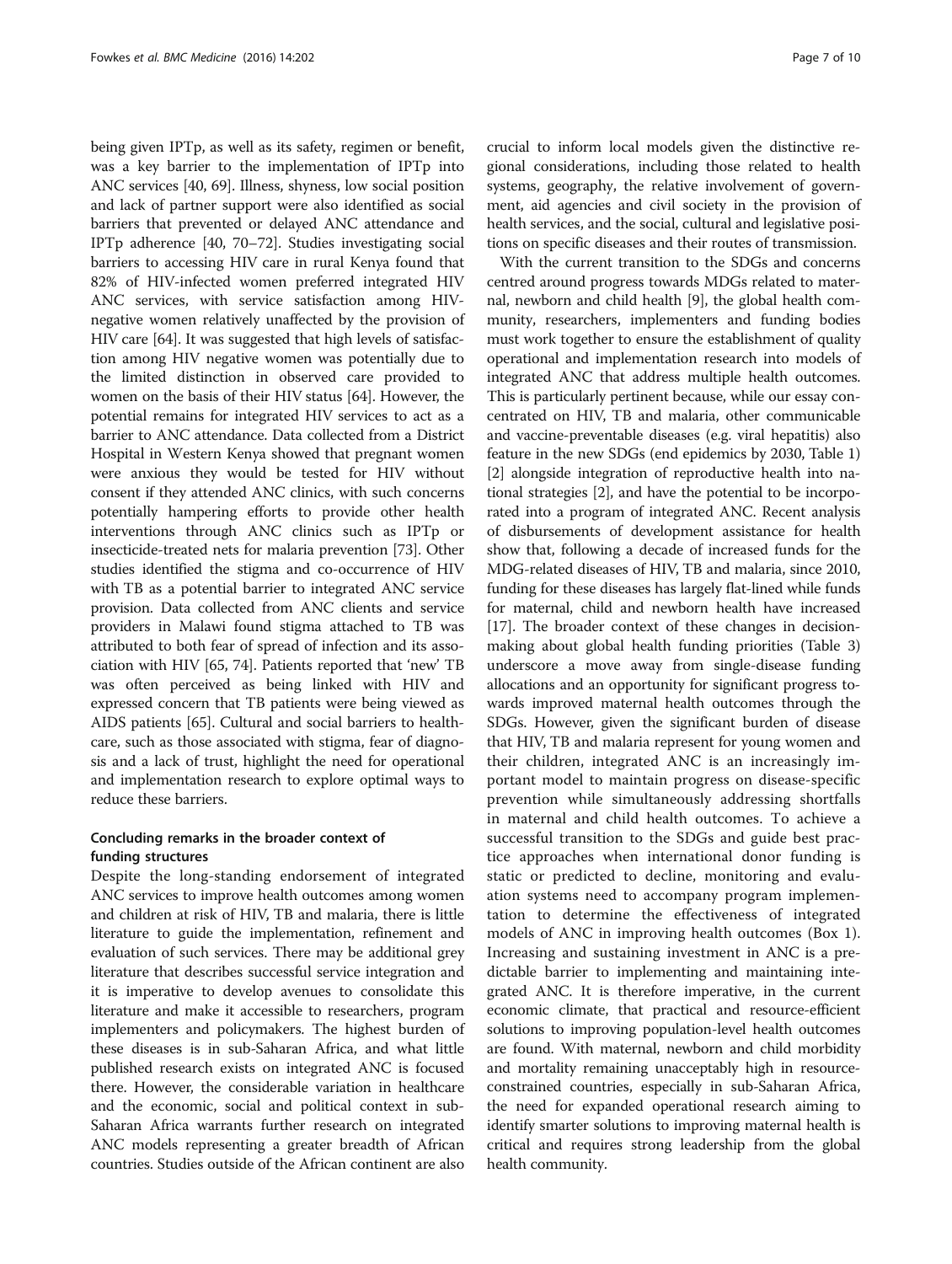being given IPTp, as well as its safety, regimen or benefit, was a key barrier to the implementation of IPTp into ANC services [[40](#page-8-0), [69\]](#page-9-0). Illness, shyness, low social position and lack of partner support were also identified as social barriers that prevented or delayed ANC attendance and IPTp adherence [[40](#page-8-0), [70](#page-9-0)–[72\]](#page-9-0). Studies investigating social barriers to accessing HIV care in rural Kenya found that 82% of HIV-infected women preferred integrated HIV ANC services, with service satisfaction among HIVnegative women relatively unaffected by the provision of HIV care [[64](#page-9-0)]. It was suggested that high levels of satisfaction among HIV negative women was potentially due to the limited distinction in observed care provided to women on the basis of their HIV status [\[64\]](#page-9-0). However, the potential remains for integrated HIV services to act as a barrier to ANC attendance. Data collected from a District Hospital in Western Kenya showed that pregnant women were anxious they would be tested for HIV without consent if they attended ANC clinics, with such concerns potentially hampering efforts to provide other health interventions through ANC clinics such as IPTp or insecticide-treated nets for malaria prevention [[73](#page-9-0)]. Other studies identified the stigma and co-occurrence of HIV with TB as a potential barrier to integrated ANC service provision. Data collected from ANC clients and service providers in Malawi found stigma attached to TB was attributed to both fear of spread of infection and its association with HIV [\[65, 74](#page-9-0)]. Patients reported that 'new' TB was often perceived as being linked with HIV and expressed concern that TB patients were being viewed as AIDS patients [[65](#page-9-0)]. Cultural and social barriers to healthcare, such as those associated with stigma, fear of diagnosis and a lack of trust, highlight the need for operational and implementation research to explore optimal ways to reduce these barriers.

#### Concluding remarks in the broader context of funding structures

Despite the long-standing endorsement of integrated ANC services to improve health outcomes among women and children at risk of HIV, TB and malaria, there is little literature to guide the implementation, refinement and evaluation of such services. There may be additional grey literature that describes successful service integration and it is imperative to develop avenues to consolidate this literature and make it accessible to researchers, program implementers and policymakers. The highest burden of these diseases is in sub-Saharan Africa, and what little published research exists on integrated ANC is focused there. However, the considerable variation in healthcare and the economic, social and political context in sub-Saharan Africa warrants further research on integrated ANC models representing a greater breadth of African countries. Studies outside of the African continent are also

crucial to inform local models given the distinctive regional considerations, including those related to health systems, geography, the relative involvement of government, aid agencies and civil society in the provision of health services, and the social, cultural and legislative positions on specific diseases and their routes of transmission.

With the current transition to the SDGs and concerns centred around progress towards MDGs related to maternal, newborn and child health [\[9\]](#page-7-0), the global health community, researchers, implementers and funding bodies must work together to ensure the establishment of quality operational and implementation research into models of integrated ANC that address multiple health outcomes. This is particularly pertinent because, while our essay concentrated on HIV, TB and malaria, other communicable and vaccine-preventable diseases (e.g. viral hepatitis) also feature in the new SDGs (end epidemics by 2030, Table [1](#page-1-0)) [[2\]](#page-7-0) alongside integration of reproductive health into national strategies [[2\]](#page-7-0), and have the potential to be incorporated into a program of integrated ANC. Recent analysis of disbursements of development assistance for health show that, following a decade of increased funds for the MDG-related diseases of HIV, TB and malaria, since 2010, funding for these diseases has largely flat-lined while funds for maternal, child and newborn health have increased [[17](#page-8-0)]. The broader context of these changes in decisionmaking about global health funding priorities (Table [3](#page-4-0)) underscore a move away from single-disease funding allocations and an opportunity for significant progress towards improved maternal health outcomes through the SDGs. However, given the significant burden of disease that HIV, TB and malaria represent for young women and their children, integrated ANC is an increasingly important model to maintain progress on disease-specific prevention while simultaneously addressing shortfalls in maternal and child health outcomes. To achieve a successful transition to the SDGs and guide best practice approaches when international donor funding is static or predicted to decline, monitoring and evaluation systems need to accompany program implementation to determine the effectiveness of integrated models of ANC in improving health outcomes (Box 1). Increasing and sustaining investment in ANC is a predictable barrier to implementing and maintaining integrated ANC. It is therefore imperative, in the current economic climate, that practical and resource-efficient solutions to improving population-level health outcomes are found. With maternal, newborn and child morbidity and mortality remaining unacceptably high in resourceconstrained countries, especially in sub-Saharan Africa, the need for expanded operational research aiming to identify smarter solutions to improving maternal health is critical and requires strong leadership from the global health community.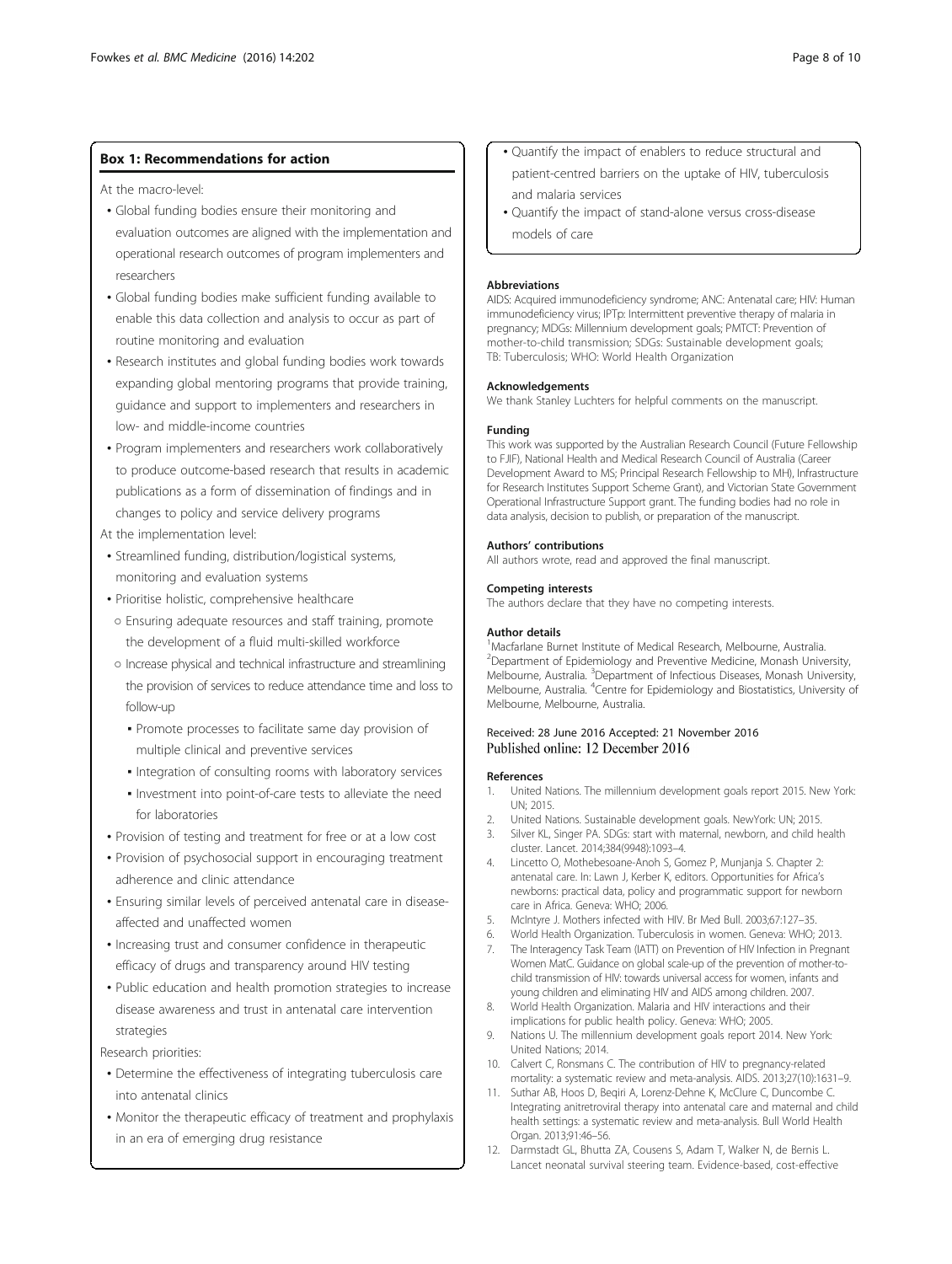#### <span id="page-7-0"></span>Box 1: Recommendations for action

At the macro-level:

- Global funding bodies ensure their monitoring and evaluation outcomes are aligned with the implementation and operational research outcomes of program implementers and researchers
- Global funding bodies make sufficient funding available to enable this data collection and analysis to occur as part of routine monitoring and evaluation
- Research institutes and global funding bodies work towards expanding global mentoring programs that provide training, guidance and support to implementers and researchers in low- and middle-income countries
- Program implementers and researchers work collaboratively to produce outcome-based research that results in academic publications as a form of dissemination of findings and in changes to policy and service delivery programs
- At the implementation level:
- Streamlined funding, distribution/logistical systems, monitoring and evaluation systems
- Prioritise holistic, comprehensive healthcare
- Ensuring adequate resources and staff training, promote the development of a fluid multi-skilled workforce
- Increase physical and technical infrastructure and streamlining the provision of services to reduce attendance time and loss to follow-up
	- Promote processes to facilitate same day provision of multiple clinical and preventive services
	- Integration of consulting rooms with laboratory services
	- Investment into point-of-care tests to alleviate the need for laboratories
- Provision of testing and treatment for free or at a low cost
- Provision of psychosocial support in encouraging treatment adherence and clinic attendance
- Ensuring similar levels of perceived antenatal care in diseaseaffected and unaffected women
- Increasing trust and consumer confidence in therapeutic efficacy of drugs and transparency around HIV testing
- Public education and health promotion strategies to increase disease awareness and trust in antenatal care intervention strategies
- Research priorities:
- Determine the effectiveness of integrating tuberculosis care into antenatal clinics
- Monitor the therapeutic efficacy of treatment and prophylaxis in an era of emerging drug resistance
- Quantify the impact of enablers to reduce structural and patient-centred barriers on the uptake of HIV, tuberculosis and malaria services
- Quantify the impact of stand-alone versus cross-disease models of care

#### Abbreviations

AIDS: Acquired immunodeficiency syndrome; ANC: Antenatal care; HIV: Human immunodeficiency virus; IPTp: Intermittent preventive therapy of malaria in pregnancy; MDGs: Millennium development goals; PMTCT: Prevention of mother-to-child transmission; SDGs: Sustainable development goals; TB: Tuberculosis; WHO: World Health Organization

#### Acknowledgements

We thank Stanley Luchters for helpful comments on the manuscript.

#### Funding

This work was supported by the Australian Research Council (Future Fellowship to FJIF), National Health and Medical Research Council of Australia (Career Development Award to MS; Principal Research Fellowship to MH), Infrastructure for Research Institutes Support Scheme Grant), and Victorian State Government Operational Infrastructure Support grant. The funding bodies had no role in data analysis, decision to publish, or preparation of the manuscript.

#### Authors' contributions

All authors wrote, read and approved the final manuscript.

#### Competing interests

The authors declare that they have no competing interests.

#### Author details

<sup>1</sup>Macfarlane Burnet Institute of Medical Research, Melbourne, Australia. <sup>2</sup> Department of Epidemiology and Preventive Medicine, Monash University, Melbourne, Australia. <sup>3</sup>Department of Infectious Diseases, Monash University Melbourne, Australia. <sup>4</sup>Centre for Epidemiology and Biostatistics, University of Melbourne, Melbourne, Australia.

## Received: 28 June 2016 Accepted: 21 November 2016<br>Published online: 12 December 2016

#### References

- 1. United Nations. The millennium development goals report 2015. New York: UN; 2015.
- 2. United Nations. Sustainable development goals. NewYork: UN; 2015.
- 3. Silver KL, Singer PA. SDGs: start with maternal, newborn, and child health cluster. Lancet. 2014;384(9948):1093–4.
- 4. Lincetto O, Mothebesoane-Anoh S, Gomez P, Munjanja S. Chapter 2: antenatal care. In: Lawn J, Kerber K, editors. Opportunities for Africa's newborns: practical data, policy and programmatic support for newborn care in Africa. Geneva: WHO; 2006.
- 5. McIntyre J. Mothers infected with HIV. Br Med Bull. 2003;67:127–35.
- 6. World Health Organization. Tuberculosis in women. Geneva: WHO; 2013.
- 7. The Interagency Task Team (IATT) on Prevention of HIV Infection in Pregnant Women MatC. Guidance on global scale-up of the prevention of mother-tochild transmission of HIV: towards universal access for women, infants and young children and eliminating HIV and AIDS among children. 2007.
- 8. World Health Organization. Malaria and HIV interactions and their implications for public health policy. Geneva: WHO; 2005.
- 9. Nations U. The millennium development goals report 2014. New York: United Nations; 2014.
- 10. Calvert C, Ronsmans C. The contribution of HIV to pregnancy-related mortality: a systematic review and meta-analysis. AIDS. 2013;27(10):1631–9.
- 11. Suthar AB, Hoos D, Beqiri A, Lorenz-Dehne K, McClure C, Duncombe C. Integrating anitretroviral therapy into antenatal care and maternal and child health settings: a systematic review and meta-analysis. Bull World Health Organ. 2013;91:46–56.
- 12. Darmstadt GL, Bhutta ZA, Cousens S, Adam T, Walker N, de Bernis L. Lancet neonatal survival steering team. Evidence-based, cost-effective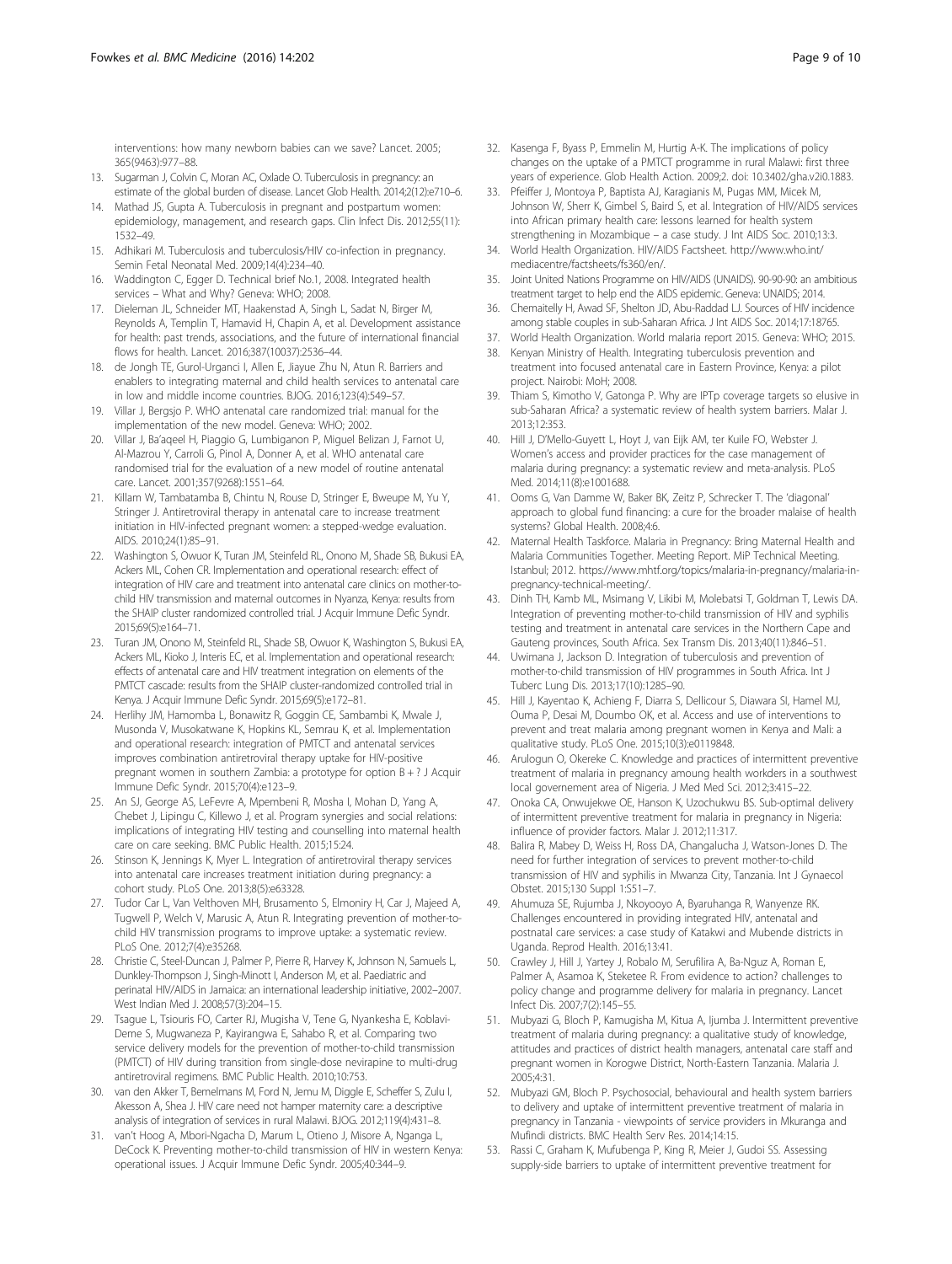<span id="page-8-0"></span>interventions: how many newborn babies can we save? Lancet. 2005; 365(9463):977–88.

- 13. Sugarman J, Colvin C, Moran AC, Oxlade O, Tuberculosis in pregnancy: an estimate of the global burden of disease. Lancet Glob Health. 2014;2(12):e710–6.
- 14. Mathad JS, Gupta A. Tuberculosis in pregnant and postpartum women: epidemiology, management, and research gaps. Clin Infect Dis. 2012;55(11): 1532–49.
- 15. Adhikari M. Tuberculosis and tuberculosis/HIV co-infection in pregnancy. Semin Fetal Neonatal Med. 2009;14(4):234–40.
- 16. Waddington C, Egger D. Technical brief No.1, 2008. Integrated health services – What and Why? Geneva: WHO; 2008.
- 17. Dieleman JL, Schneider MT, Haakenstad A, Singh L, Sadat N, Birger M, Reynolds A, Templin T, Hamavid H, Chapin A, et al. Development assistance for health: past trends, associations, and the future of international financial flows for health. Lancet. 2016;387(10037):2536–44.
- 18. de Jongh TE, Gurol-Urganci I, Allen E, Jiayue Zhu N, Atun R. Barriers and enablers to integrating maternal and child health services to antenatal care in low and middle income countries. BJOG. 2016;123(4):549–57.
- 19. Villar J, Bergsjo P. WHO antenatal care randomized trial: manual for the implementation of the new model. Geneva: WHO; 2002.
- 20. Villar J, Ba'aqeel H, Piaggio G, Lumbiganon P, Miguel Belizan J, Farnot U, Al-Mazrou Y, Carroli G, Pinol A, Donner A, et al. WHO antenatal care randomised trial for the evaluation of a new model of routine antenatal care. Lancet. 2001;357(9268):1551–64.
- 21. Killam W, Tambatamba B, Chintu N, Rouse D, Stringer E, Bweupe M, Yu Y, Stringer J. Antiretroviral therapy in antenatal care to increase treatment initiation in HIV-infected pregnant women: a stepped-wedge evaluation. AIDS. 2010;24(1):85–91.
- 22. Washington S, Owuor K, Turan JM, Steinfeld RL, Onono M, Shade SB, Bukusi EA, Ackers ML, Cohen CR. Implementation and operational research: effect of integration of HIV care and treatment into antenatal care clinics on mother-tochild HIV transmission and maternal outcomes in Nyanza, Kenya: results from the SHAIP cluster randomized controlled trial. J Acquir Immune Defic Syndr. 2015;69(5):e164–71.
- 23. Turan JM, Onono M, Steinfeld RL, Shade SB, Owuor K, Washington S, Bukusi EA, Ackers ML, Kioko J, Interis EC, et al. Implementation and operational research: effects of antenatal care and HIV treatment integration on elements of the PMTCT cascade: results from the SHAIP cluster-randomized controlled trial in Kenya. J Acquir Immune Defic Syndr. 2015;69(5):e172–81.
- 24. Herlihy JM, Hamomba L, Bonawitz R, Goggin CE, Sambambi K, Mwale J, Musonda V, Musokatwane K, Hopkins KL, Semrau K, et al. Implementation and operational research: integration of PMTCT and antenatal services improves combination antiretroviral therapy uptake for HIV-positive pregnant women in southern Zambia: a prototype for option B + ? J Acquir Immune Defic Syndr. 2015;70(4):e123–9.
- 25. An SJ, George AS, LeFevre A, Mpembeni R, Mosha I, Mohan D, Yang A, Chebet J, Lipingu C, Killewo J, et al. Program synergies and social relations: implications of integrating HIV testing and counselling into maternal health care on care seeking. BMC Public Health. 2015;15:24.
- 26. Stinson K, Jennings K, Myer L. Integration of antiretroviral therapy services into antenatal care increases treatment initiation during pregnancy: a cohort study. PLoS One. 2013;8(5):e63328.
- 27. Tudor Car L, Van Velthoven MH, Brusamento S, Elmoniry H, Car J, Majeed A, Tugwell P, Welch V, Marusic A, Atun R. Integrating prevention of mother-tochild HIV transmission programs to improve uptake: a systematic review. PLoS One. 2012;7(4):e35268.
- 28. Christie C, Steel-Duncan J, Palmer P, Pierre R, Harvey K, Johnson N, Samuels L, Dunkley-Thompson J, Singh-Minott I, Anderson M, et al. Paediatric and perinatal HIV/AIDS in Jamaica: an international leadership initiative, 2002–2007. West Indian Med J. 2008;57(3):204–15.
- 29. Tsague L, Tsiouris FO, Carter RJ, Mugisha V, Tene G, Nyankesha E, Koblavi-Deme S, Mugwaneza P, Kayirangwa E, Sahabo R, et al. Comparing two service delivery models for the prevention of mother-to-child transmission (PMTCT) of HIV during transition from single-dose nevirapine to multi-drug antiretroviral regimens. BMC Public Health. 2010;10:753.
- 30. van den Akker T, Bemelmans M, Ford N, Jemu M, Diggle E, Scheffer S, Zulu I, Akesson A, Shea J. HIV care need not hamper maternity care: a descriptive analysis of integration of services in rural Malawi. BJOG. 2012;119(4):431–8.
- 31. van't Hoog A, Mbori-Ngacha D, Marum L, Otieno J, Misore A, Nganga L, DeCock K. Preventing mother-to-child transmission of HIV in western Kenya: operational issues. J Acquir Immune Defic Syndr. 2005;40:344–9.
- 32. Kasenga F, Byass P, Emmelin M, Hurtig A-K. The implications of policy changes on the uptake of a PMTCT programme in rural Malawi: first three years of experience. Glob Health Action. 2009;2. doi: [10.3402/gha.v2i0.1883.](http://dx.doi.org/10.3402/gha.v2i0.1883)
- 33. Pfeiffer J, Montoya P, Baptista AJ, Karagianis M, Pugas MM, Micek M, Johnson W, Sherr K, Gimbel S, Baird S, et al. Integration of HIV/AIDS services into African primary health care: lessons learned for health system strengthening in Mozambique – a case study. J Int AIDS Soc. 2010;13:3.
- 34. World Health Organization. HIV/AIDS Factsheet. [http://www.who.int/](http://www.who.int/mediacentre/factsheets/fs360/en/) [mediacentre/factsheets/fs360/en/](http://www.who.int/mediacentre/factsheets/fs360/en/).
- 35. Joint United Nations Programme on HIV/AIDS (UNAIDS). 90-90-90: an ambitious treatment target to help end the AIDS epidemic. Geneva: UNAIDS; 2014.
- 36. Chemaitelly H, Awad SF, Shelton JD, Abu-Raddad LJ. Sources of HIV incidence among stable couples in sub-Saharan Africa. J Int AIDS Soc. 2014;17:18765.
- 37. World Health Organization. World malaria report 2015. Geneva: WHO; 2015.
- Kenyan Ministry of Health. Integrating tuberculosis prevention and treatment into focused antenatal care in Eastern Province, Kenya: a pilot
- project. Nairobi: MoH; 2008. 39. Thiam S, Kimotho V, Gatonga P. Why are IPTp coverage targets so elusive in
- sub-Saharan Africa? a systematic review of health system barriers. Malar J. 2013;12:353.
- 40. Hill J, D'Mello-Guyett L, Hoyt J, van Eijk AM, ter Kuile FO, Webster J. Women's access and provider practices for the case management of malaria during pregnancy: a systematic review and meta-analysis. PLoS Med. 2014;11(8):e1001688.
- 41. Ooms G, Van Damme W, Baker BK, Zeitz P, Schrecker T. The 'diagonal' approach to global fund financing: a cure for the broader malaise of health systems? Global Health. 2008;4:6.
- 42. Maternal Health Taskforce. Malaria in Pregnancy: Bring Maternal Health and Malaria Communities Together. Meeting Report. MiP Technical Meeting. Istanbul; 2012. [https://www.mhtf.org/topics/malaria-in-pregnancy/malaria-in](https://www.mhtf.org/topics/malaria-in-pregnancy/malaria-in-pregnancy-technical-meeting/)[pregnancy-technical-meeting/.](https://www.mhtf.org/topics/malaria-in-pregnancy/malaria-in-pregnancy-technical-meeting/)
- 43. Dinh TH, Kamb ML, Msimang V, Likibi M, Molebatsi T, Goldman T, Lewis DA. Integration of preventing mother-to-child transmission of HIV and syphilis testing and treatment in antenatal care services in the Northern Cape and Gauteng provinces, South Africa. Sex Transm Dis. 2013;40(11):846–51.
- 44. Uwimana J, Jackson D. Integration of tuberculosis and prevention of mother-to-child transmission of HIV programmes in South Africa. Int J Tuberc Lung Dis. 2013;17(10):1285–90.
- 45. Hill J, Kayentao K, Achieng F, Diarra S, Dellicour S, Diawara SI, Hamel MJ, Ouma P, Desai M, Doumbo OK, et al. Access and use of interventions to prevent and treat malaria among pregnant women in Kenya and Mali: a qualitative study. PLoS One. 2015;10(3):e0119848.
- 46. Arulogun O, Okereke C. Knowledge and practices of intermittent preventive treatment of malaria in pregnancy amoung health workders in a southwest local governement area of Nigeria. J Med Med Sci. 2012;3:415–22.
- 47. Onoka CA, Onwujekwe OE, Hanson K, Uzochukwu BS. Sub-optimal delivery of intermittent preventive treatment for malaria in pregnancy in Nigeria: influence of provider factors. Malar J. 2012;11:317.
- 48. Balira R, Mabey D, Weiss H, Ross DA, Changalucha J, Watson-Jones D. The need for further integration of services to prevent mother-to-child transmission of HIV and syphilis in Mwanza City, Tanzania. Int J Gynaecol Obstet. 2015;130 Suppl 1:S51–7.
- 49. Ahumuza SE, Rujumba J, Nkoyooyo A, Byaruhanga R, Wanyenze RK. Challenges encountered in providing integrated HIV, antenatal and postnatal care services: a case study of Katakwi and Mubende districts in Uganda. Reprod Health. 2016;13:41.
- 50. Crawley J, Hill J, Yartey J, Robalo M, Serufilira A, Ba-Nguz A, Roman E, Palmer A, Asamoa K, Steketee R. From evidence to action? challenges to policy change and programme delivery for malaria in pregnancy. Lancet Infect Dis. 2007;7(2):145–55.
- 51. Mubyazi G, Bloch P, Kamugisha M, Kitua A, Ijumba J. Intermittent preventive treatment of malaria during pregnancy: a qualitative study of knowledge, attitudes and practices of district health managers, antenatal care staff and pregnant women in Korogwe District, North-Eastern Tanzania. Malaria J. 2005;4:31.
- 52. Mubyazi GM, Bloch P. Psychosocial, behavioural and health system barriers to delivery and uptake of intermittent preventive treatment of malaria in pregnancy in Tanzania - viewpoints of service providers in Mkuranga and Mufindi districts. BMC Health Serv Res. 2014;14:15.
- 53. Rassi C, Graham K, Mufubenga P, King R, Meier J, Gudoi SS. Assessing supply-side barriers to uptake of intermittent preventive treatment for